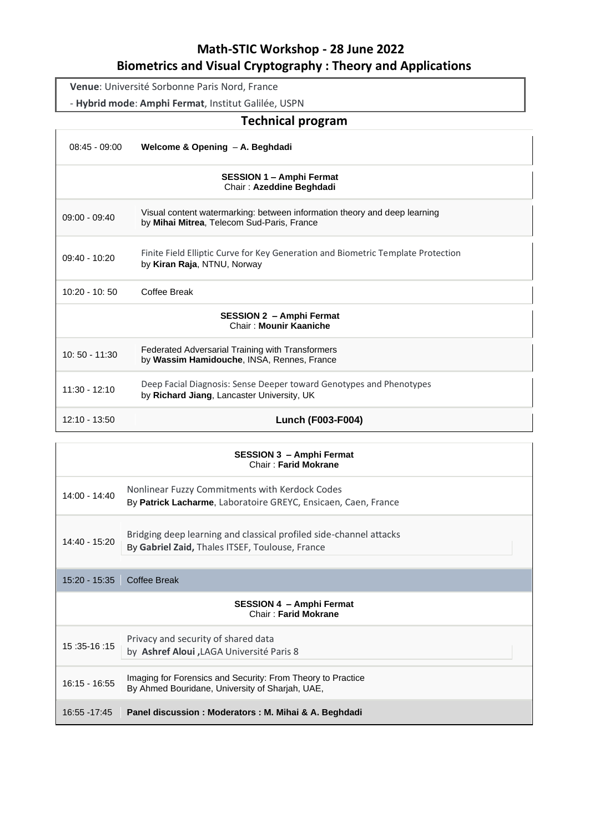# **Math-STIC Workshop - 28 June 2022 Biometrics and Visual Cryptography : Theory and Applications**

**Venue**: Université Sorbonne Paris Nord, France

- **Hybrid mode**: **Amphi Fermat**, Institut Galilée, USPN

# **Technical program**

| $08:45 - 09:00$ | Welcome & Opening - A. Beghdadi                                                                                         |
|-----------------|-------------------------------------------------------------------------------------------------------------------------|
|                 | <b>SESSION 1 - Amphi Fermat</b><br>Chair: Azeddine Beghdadi                                                             |
| $09:00 - 09:40$ | Visual content watermarking: between information theory and deep learning<br>by Mihai Mitrea, Telecom Sud-Paris, France |
| $09:40 - 10:20$ | Finite Field Elliptic Curve for Key Generation and Biometric Template Protection<br>by Kiran Raja, NTNU, Norway         |
| $10:20 - 10:50$ | Coffee Break                                                                                                            |
|                 | <b>SESSION 2 - Amphi Fermat</b><br>Chair: Mounir Kaaniche                                                               |
| $10:50 - 11:30$ | Federated Adversarial Training with Transformers<br>by Wassim Hamidouche, INSA, Rennes, France                          |
| $11:30 - 12:10$ | Deep Facial Diagnosis: Sense Deeper toward Genotypes and Phenotypes<br>by Richard Jiang, Lancaster University, UK       |
| $12:10 - 13:50$ | <b>Lunch (F003-F004)</b>                                                                                                |
|                 |                                                                                                                         |

| <b>SESSION 3 - Amphi Fermat</b><br><b>Chair: Farid Mokrane</b> |                                                                                                                       |  |
|----------------------------------------------------------------|-----------------------------------------------------------------------------------------------------------------------|--|
| $14:00 - 14:40$                                                | Nonlinear Fuzzy Commitments with Kerdock Codes<br>By Patrick Lacharme, Laboratoire GREYC, Ensicaen, Caen, France      |  |
| 14:40 - 15:20                                                  | Bridging deep learning and classical profiled side-channel attacks<br>By Gabriel Zaid, Thales ITSEF, Toulouse, France |  |
| $15:20 - 15:35$                                                | <b>Coffee Break</b>                                                                                                   |  |
| <b>SESSION 4 - Amphi Fermat</b><br><b>Chair: Farid Mokrane</b> |                                                                                                                       |  |
| 15:35-16:15                                                    | Privacy and security of shared data<br>by Ashref Aloui, LAGA Université Paris 8                                       |  |
| $16:15 - 16:55$                                                | Imaging for Forensics and Security: From Theory to Practice<br>By Ahmed Bouridane, University of Sharjah, UAE,        |  |
| 16:55 - 17:45                                                  | Panel discussion : Moderators : M. Mihai & A. Beghdadi                                                                |  |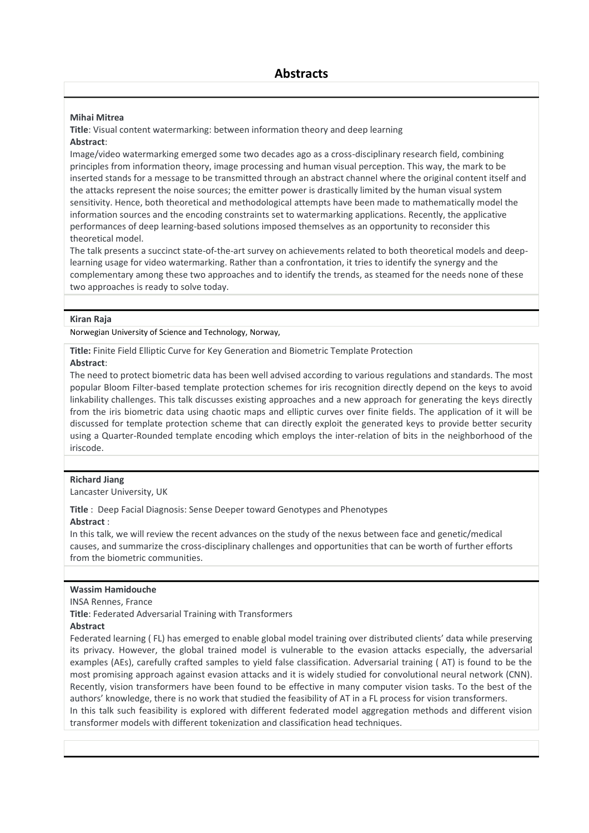#### **Mihai Mitrea**

**Title**: Visual content watermarking: between information theory and deep learning **Abstract**:

Image/video watermarking emerged some two decades ago as a cross-disciplinary research field, combining principles from information theory, image processing and human visual perception. This way, the mark to be inserted stands for a message to be transmitted through an abstract channel where the original content itself and the attacks represent the noise sources; the emitter power is drastically limited by the human visual system sensitivity. Hence, both theoretical and methodological attempts have been made to mathematically model the information sources and the encoding constraints set to watermarking applications. Recently, the applicative performances of deep learning-based solutions imposed themselves as an opportunity to reconsider this theoretical model.

The talk presents a succinct state-of-the-art survey on achievements related to both theoretical models and deeplearning usage for video watermarking. Rather than a confrontation, it tries to identify the synergy and the complementary among these two approaches and to identify the trends, as steamed for the needs none of these two approaches is ready to solve today.

#### **Kiran Raja**

Norwegian University of Science and Technology, Norway,

**Title:** Finite Field Elliptic Curve for Key Generation and Biometric Template Protection

### **Abstract**:

The need to protect biometric data has been well advised according to various regulations and standards. The most popular Bloom Filter-based template protection schemes for iris recognition directly depend on the keys to avoid linkability challenges. This talk discusses existing approaches and a new approach for generating the keys directly from the iris biometric data using chaotic maps and elliptic curves over finite fields. The application of it will be discussed for template protection scheme that can directly exploit the generated keys to provide better security using a Quarter-Rounded template encoding which employs the inter-relation of bits in the neighborhood of the iriscode.

#### **Richard Jiang**

Lancaster University, UK

**Title** : Deep Facial Diagnosis: Sense Deeper toward Genotypes and Phenotypes **Abstract** :

In this talk, we will review the recent advances on the study of the nexus between face and genetic/medical causes, and summarize the cross-disciplinary challenges and opportunities that can be worth of further efforts from the biometric communities.

## **Wassim Hamidouche**

INSA Rennes, France

**Title**: Federated Adversarial Training with Transformers

#### **Abstract**

Federated learning ( FL) has emerged to enable global model training over distributed clients' data while preserving its privacy. However, the global trained model is vulnerable to the evasion attacks especially, the adversarial examples (AEs), carefully crafted samples to yield false classification. Adversarial training ( AT) is found to be the most promising approach against evasion attacks and it is widely studied for convolutional neural network (CNN). Recently, vision transformers have been found to be effective in many computer vision tasks. To the best of the authors' knowledge, there is no work that studied the feasibility of AT in a FL process for vision transformers. In this talk such feasibility is explored with different federated model aggregation methods and different vision

transformer models with different tokenization and classification head techniques.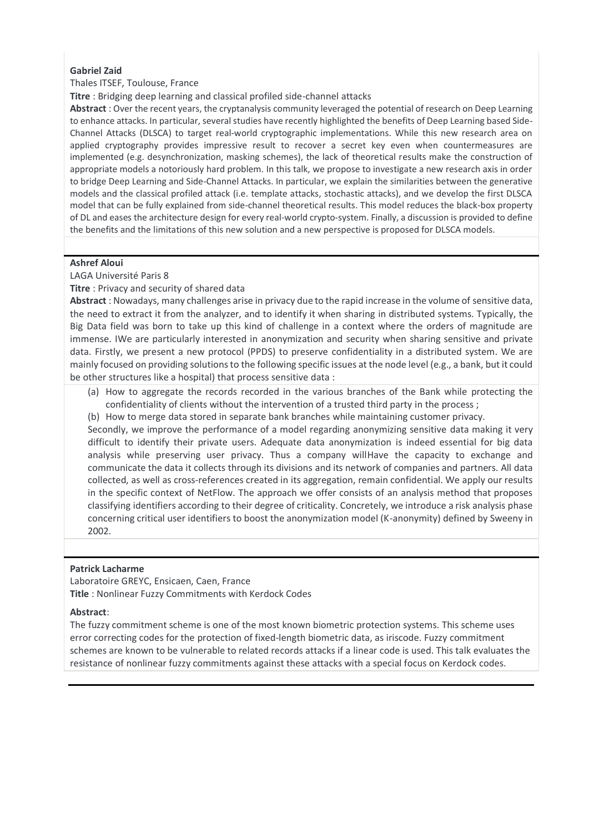## **Gabriel Zaid**

# Thales ITSEF, Toulouse, France

**Titre** : Bridging deep learning and classical profiled side-channel attacks

**Abstract** : Over the recent years, the cryptanalysis community leveraged the potential of research on Deep Learning to enhance attacks. In particular, several studies have recently highlighted the benefits of Deep Learning based Side-Channel Attacks (DLSCA) to target real-world cryptographic implementations. While this new research area on applied cryptography provides impressive result to recover a secret key even when countermeasures are implemented (e.g. desynchronization, masking schemes), the lack of theoretical results make the construction of appropriate models a notoriously hard problem. In this talk, we propose to investigate a new research axis in order to bridge Deep Learning and Side-Channel Attacks. In particular, we explain the similarities between the generative models and the classical profiled attack (i.e. template attacks, stochastic attacks), and we develop the first DLSCA model that can be fully explained from side-channel theoretical results. This model reduces the black-box property of DL and eases the architecture design for every real-world crypto-system. Finally, a discussion is provided to define the benefits and the limitations of this new solution and a new perspective is proposed for DLSCA models.

## **Ashref Aloui**

LAGA Université Paris 8

**Titre** : Privacy and security of shared data

**Abstract** : Nowadays, many challenges arise in privacy due to the rapid increase in the volume of sensitive data, the need to extract it from the analyzer, and to identify it when sharing in distributed systems. Typically, the Big Data field was born to take up this kind of challenge in a context where the orders of magnitude are immense. IWe are particularly interested in anonymization and security when sharing sensitive and private data. Firstly, we present a new protocol (PPDS) to preserve confidentiality in a distributed system. We are mainly focused on providing solutions to the following specific issues at the node level (e.g., a bank, but it could be other structures like a hospital) that process sensitive data :

- (a) How to aggregate the records recorded in the various branches of the Bank while protecting the confidentiality of clients without the intervention of a trusted third party in the process ;
- (b) How to merge data stored in separate bank branches while maintaining customer privacy.

Secondly, we improve the performance of a model regarding anonymizing sensitive data making it very difficult to identify their private users. Adequate data anonymization is indeed essential for big data analysis while preserving user privacy. Thus a company willHave the capacity to exchange and communicate the data it collects through its divisions and its network of companies and partners. All data collected, as well as cross-references created in its aggregation, remain confidential. We apply our results in the specific context of NetFlow. The approach we offer consists of an analysis method that proposes classifying identifiers according to their degree of criticality. Concretely, we introduce a risk analysis phase concerning critical user identifiers to boost the anonymization model (K-anonymity) defined by Sweeny in 2002.

## **Patrick Lacharme**

Laboratoire GREYC, Ensicaen, Caen, France **Title** : Nonlinear Fuzzy Commitments with Kerdock Codes

## **Abstract**:

The fuzzy commitment scheme is one of the most known biometric protection systems. This scheme uses error correcting codes for the protection of fixed-length biometric data, as iriscode. Fuzzy commitment schemes are known to be vulnerable to related records attacks if a linear code is used. This talk evaluates the resistance of nonlinear fuzzy commitments against these attacks with a special focus on Kerdock codes.